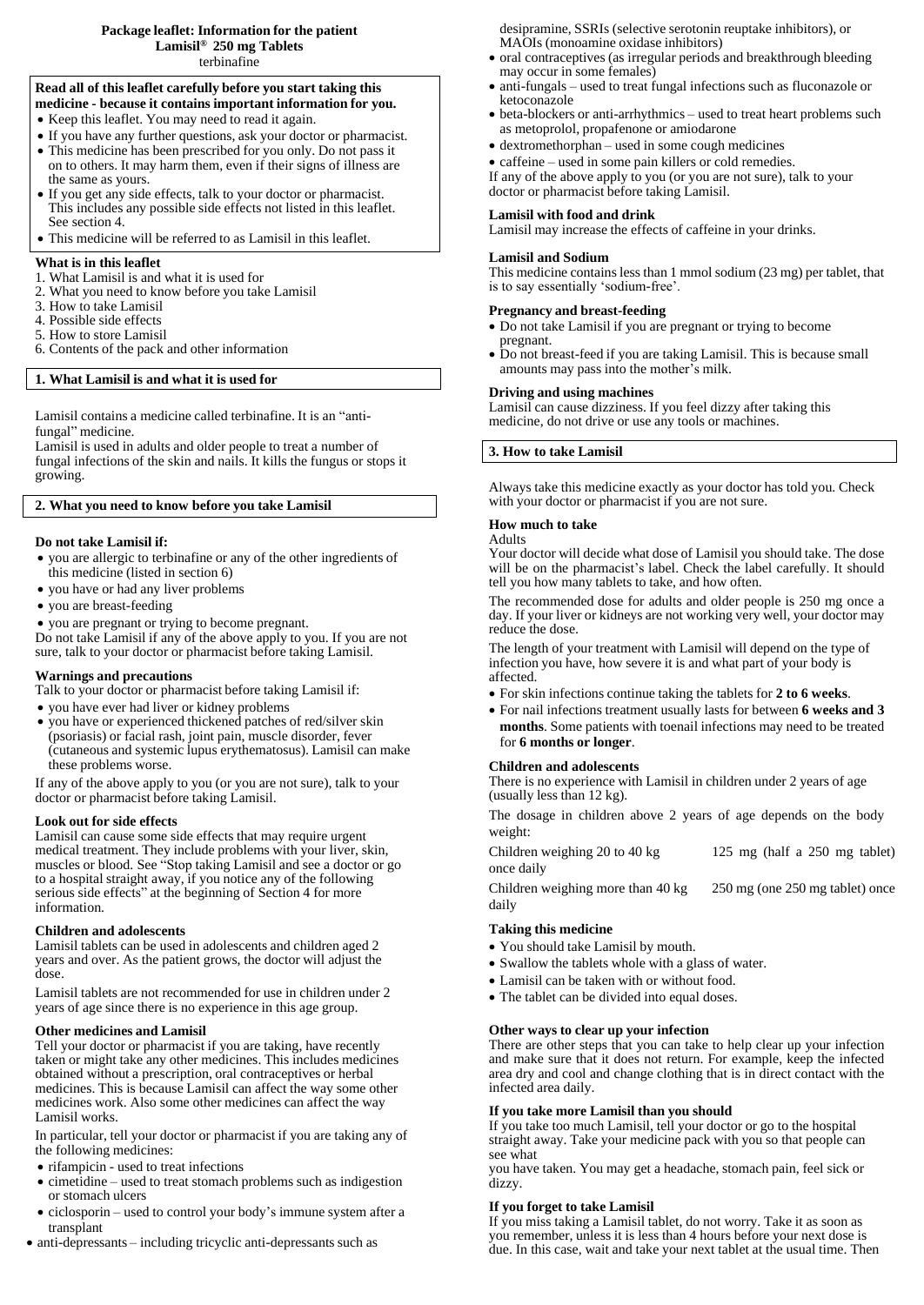#### **Package leaflet: Information for the patient Lamisil ® 250 mg Tablets** terbinafine

## **Read all of this leaflet carefully before you start taking this**

- **medicine - because it contains important information for you.**
- Keep this leaflet. You may need to read it again.
- If you have any further questions, ask your doctor or pharmacist.
- This medicine has been prescribed for you only. Do not pass it on to others. It may harm them, even if their signs of illness are the same as yours.
- If you get any side effects, talk to your doctor or pharmacist. This includes any possible side effects not listed in this leaflet. See section 4.
- This medicine will be referred to as Lamisil in this leaflet.

#### **What is in this leaflet**

- 1. What Lamisil is and what it is used for
- 2. What you need to know before you take Lamisil
- 3. How to take Lamisil
- 4. Possible side effects
- 5. How to store Lamisil 6. Contents of the pack and other information
- 

# **1. What Lamisil is and what it is used for**

Lamisil contains a medicine called terbinafine. It is an "antifungal" medicine.

Lamisil is used in adults and older people to treat a number of fungal infections of the skin and nails. It kills the fungus or stops it growing.

# **2. What you need to know before you take Lamisil**

#### **Do not take Lamisil if:**

- you are allergic to terbinafine or any of the other ingredients of this medicine (listed in section 6)
- you have or had any liver problems
- you are breast-feeding

you are pregnant or trying to become pregnant.

Do not take Lamisil if any of the above apply to you. If you are not sure, talk to your doctor or pharmacist before taking Lamisil.

# **Warnings and precautions**

Talk to your doctor or pharmacist before taking Lamisil if:

- you have ever had liver or kidney problems
- you have or experienced thickened patches of red/silver skin (psoriasis) or facial rash, joint pain, muscle disorder, fever (cutaneous and systemic lupus erythematosus). Lamisil can make these problems worse.

If any of the above apply to you (or you are not sure), talk to your doctor or pharmacist before taking Lamisil.

#### **Look out for side effects**

Lamisil can cause some side effects that may require urgent medical treatment. They include problems with your liver, skin, muscles or blood. See "Stop taking Lamisil and see a doctor or go to a hospital straight away, if you notice any of the following serious side effects" at the beginning of Section 4 for more information.

#### **Children and adolescents**

Lamisil tablets can be used in adolescents and children aged 2 years and over. As the patient grows, the doctor will adjust the dose.

Lamisil tablets are not recommended for use in children under 2 years of age since there is no experience in this age group.

## **Other medicines and Lamisil**

Tell your doctor or pharmacist if you are taking, have recently taken or might take any other medicines. This includes medicines obtained without a prescription, oral contraceptives or herbal medicines. This is because Lamisil can affect the way some other medicines work. Also some other medicines can affect the way Lamisil works.

In particular, tell your doctor or pharmacist if you are taking any of the following medicines:

- rifampicin used to treat infections
- cimetidine used to treat stomach problems such as indigestion or stomach ulcers
- ciclosporin used to control your body's immune system after a transplant
- $\bullet$  anti-depressants including tricyclic anti-depressants such as

desipramine, SSRIs (selective serotonin reuptake inhibitors), or MAOIs (monoamine oxidase inhibitors)

- oral contraceptives (as irregular periods and breakthrough bleeding may occur in some females)
- anti-fungals used to treat fungal infections such as fluconazole or ketoconazole
- beta-blockers or anti-arrhythmics used to treat heart problems such as metoprolol, propafenone or amiodarone
- dextromethorphan used in some cough medicines

caffeine – used in some pain killers or cold remedies.

If any of the above apply to you (or you are not sure), talk to your doctor or pharmacist before taking Lamisil.

# **Lamisil with food and drink**

Lamisil may increase the effects of caffeine in your drinks.

#### **Lamisil and Sodium**

This medicine contains less than 1 mmol sodium (23 mg) per tablet, that is to say essentially 'sodium-free'.

## **Pregnancy and breast-feeding**

- Do not take Lamisil if you are pregnant or trying to become pregnant.
- Do not breast-feed if you are taking Lamisil. This is because small amounts may pass into the mother's milk.

#### **Driving and using machines**

Lamisil can cause dizziness. If you feel dizzy after taking this medicine, do not drive or use any tools or machines.

## **3. How to take Lamisil**

Always take this medicine exactly as your doctor has told you. Check with your doctor or pharmacist if you are not sure.

## **How much to take**

Adults Your doctor will decide what dose of Lamisil you should take. The dose

will be on the pharmacist's label. Check the label carefully. It should tell you how many tablets to take, and how often. The recommended dose for adults and older people is 250 mg once a

day. If your liver or kidneys are not working very well, your doctor may reduce the dose.

The length of your treatment with Lamisil will depend on the type of infection you have, how severe it is and what part of your body is affected.

- For skin infections continue taking the tablets for **2 to 6 weeks**.
- For nail infections treatment usually lasts for between **6 weeks and 3 months**. Some patients with toenail infections may need to be treated for **6 months or longer**.

## **Children and adolescents**

There is no experience with Lamisil in children under 2 years of age (usually less than 12 kg).

The dosage in children above 2 years of age depends on the body weight:

Children weighing 20 to 40 kg 125 mg (half a 250 mg tablet) once daily

Children weighing more than 40 kg 250 mg (one 250 mg tablet) once daily

## **Taking this medicine**

- You should take Lamisil by mouth.
- Swallow the tablets whole with a glass of water.
- Lamisil can be taken with or without food.
- The tablet can be divided into equal doses.

## **Other ways to clear up your infection**

There are other steps that you can take to help clear up your infection and make sure that it does not return. For example, keep the infected area dry and cool and change clothing that is in direct contact with the infected area daily.

## **If you take more Lamisil than you should**

If you take too much Lamisil, tell your doctor or go to the hospital straight away. Take your medicine pack with you so that people can see what

you have taken. You may get a headache, stomach pain, feel sick or dizzy.

#### **If you forget to take Lamisil**

If you miss taking a Lamisil tablet, do not worry. Take it as soon as you remember, unless it is less than 4 hours before your next dose is due. In this case, wait and take your next tablet at the usual time. Then